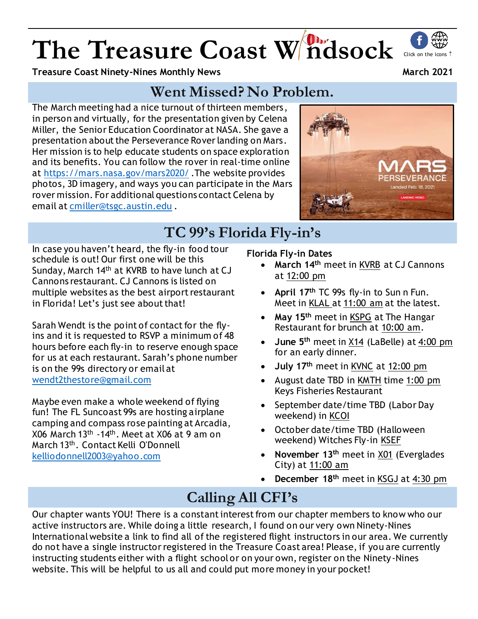# The Treasure Coast W ndsock Click on the icons of

**Treasure Coast Ninety-Nines Monthly News March 2021**

## **Went Missed? No Problem.**

The March meeting had a nice turnout of thirteen members, in person and virtually, for the presentation given by Celena Miller, the Senior Education Coordinator at NASA. She gave a presentation about the Perseverance Rover landing on Mars. Her mission is to help educate students on space exploration and its benefits. You can follow the rover in real-time online at<https://mars.nasa.gov/mars2020/> .The website provides photos, 3D imagery, and ways you can participate in the Mars rover mission. For additional questions contact Celena by email at [cmiller@tsgc.austin.edu](mailto:cmiller@tsgc.austin.edu) .



## **TC 99's Florida Fly-in's**

In case you haven't heard, the fly-in food tour schedule is out! Our first one will be this Sunday, March 14<sup>th</sup> at KVRB to have lunch at CJ Cannons restaurant. CJ Cannons is listed on multiple websites as the best airport restaurant in Florida! Let's just see about that!

Sarah Wendt is the point of contact for the flyins and it is requested to RSVP a minimum of 48 hours before each fly-in to reserve enough space for us at each restaurant. Sarah's phone number is on the 99s directory or email at [wendt2thestore@gmail.com](mailto:wendt2thestore@gmail.com)

Maybe even make a whole weekend of flying fun! The FL Suncoast 99s are hosting airplane camping and compass rose painting at Arcadia, X06 March 13th -14th. Meet at X06 at 9 am on March 13<sup>th</sup>. Contact Kelli O'Donnell [kelliodonnell2003@yahoo.com](mailto:kelliodonnell2003@yahoo.com)

### **Florida Fly-in Dates**

- **March 14th** meet in KVRB at CJ Cannons at 12:00 pm
- **April 17th** TC 99s fly-in to Sun n Fun. Meet in KLAL at 11:00 am at the latest.
- **May 15th** meet in KSPG at The Hangar Restaurant for brunch at 10:00 am.
- **June 5th** meet in X14 (LaBelle) at 4:00 pm for an early dinner.
- **July 17th** meet in KVNC at 12:00 pm
- August date TBD in KMTH time 1:00 pm Keys Fisheries Restaurant
- September date/time TBD (Labor Day weekend) in KCOI
- October date/time TBD (Halloween weekend) Witches Fly-in KSEF
- **November 13th** meet in X01 (Everglades City) at 11:00 am
- **December 18th** meet in KSGJ at 4:30 pm

## **Calling All CFI's**

Our chapter wants YOU! There is a constant interest from our chapter members to know who our active instructors are. While doing a little research, I found on our very own Ninety-Nines International website a link to find all of the registered flight instructors in our area. We currently do not have a single instructor registered in the Treasure Coast area! Please, if you are currently instructing students either with a flight school or on your own, register on the Ninety-Nines website. This will be helpful to us all and could put more money in your pocket!

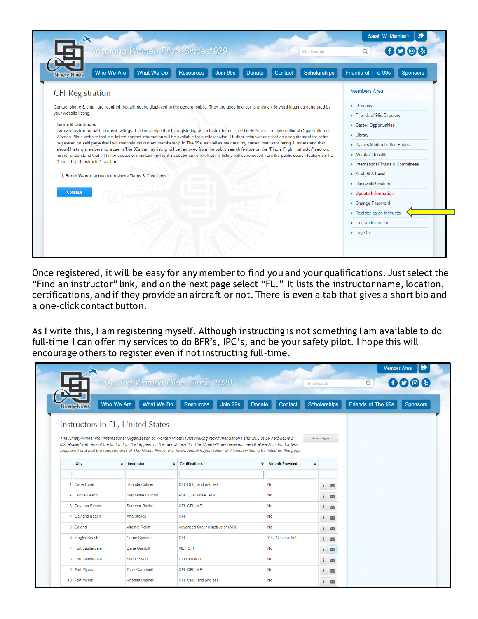|                                                                                                                                                                                                                                                                                                                         | <b>Inspiring Women Pilots Since 1929</b> |                              |                                 | <b>Site Search</b>  | Q                                   | 000             |  |
|-------------------------------------------------------------------------------------------------------------------------------------------------------------------------------------------------------------------------------------------------------------------------------------------------------------------------|------------------------------------------|------------------------------|---------------------------------|---------------------|-------------------------------------|-----------------|--|
| Who We Are<br><b>Ninety-Nines</b>                                                                                                                                                                                                                                                                                       | <b>What We Do</b>                        | Join 99s<br><b>Resources</b> | <b>Contact</b><br><b>Donate</b> | <b>Scholarships</b> | Friends of The 99s                  | <b>Sponsors</b> |  |
| <b>CFI</b> Registration                                                                                                                                                                                                                                                                                                 |                                          |                              |                                 |                     | <b>Members Area</b>                 |                 |  |
| Contact phone & email are required, but will not be displayed to the general public. They are used in order to privately forward inquiries generated by<br>your website listing.                                                                                                                                        |                                          |                              |                                 |                     | > Directory                         |                 |  |
|                                                                                                                                                                                                                                                                                                                         |                                          |                              |                                 |                     | > Friends of 99s Directory          |                 |  |
| <b>Terms &amp; Conditions</b><br>I am an instructor with current ratings. I acknowledge that by registering as an Instructor on The Ninety-Nines, Inc. International Organization of                                                                                                                                    |                                          |                              |                                 |                     | > Career Opportunities              |                 |  |
| Women Pilots website that my limited contact information will be available for public viewing. I further acknowledge that as a requirement for being                                                                                                                                                                    |                                          |                              |                                 |                     | $\blacktriangleright$ Library       |                 |  |
| registered on said page that I will maintain my current membership in The 99s, as well as maintain my current instructor rating. I understand that                                                                                                                                                                      |                                          |                              |                                 |                     | > Bylaws Modernization Project      |                 |  |
| should I let my membership lapse in The 99s that my listing will be removed from the public search feature on the "Find a Flight Instructor" section. I<br>further understand that if I fail to update or maintain my flight instructor currency, that my listing will be removed from the public search feature on the |                                          |                              |                                 |                     | > Member Benefits                   |                 |  |
| "Find a Flight Instructor" section.                                                                                                                                                                                                                                                                                     |                                          |                              |                                 |                     | > International Trusts & Committees |                 |  |
| □I, Sarah Wendt, agree to the above Terms & Conditions                                                                                                                                                                                                                                                                  |                                          |                              |                                 |                     | > Straight & Level                  |                 |  |
|                                                                                                                                                                                                                                                                                                                         |                                          |                              |                                 |                     | > Renewal/Donation                  |                 |  |
| Continue                                                                                                                                                                                                                                                                                                                |                                          |                              |                                 |                     | > Update Information                |                 |  |
|                                                                                                                                                                                                                                                                                                                         |                                          |                              |                                 |                     | > Change Password                   |                 |  |
|                                                                                                                                                                                                                                                                                                                         |                                          |                              |                                 |                     |                                     |                 |  |
|                                                                                                                                                                                                                                                                                                                         |                                          |                              |                                 |                     | > Register as an Instructor         |                 |  |
|                                                                                                                                                                                                                                                                                                                         |                                          |                              |                                 |                     | > Find an Instructor                |                 |  |

Once registered, it will be easy for any member to find you and your qualifications. Just select the "Find an instructor" link, and on the next page select "FL." It lists the instructor name, location, certifications, and if they provide an aircraft or not. There is even a tab that gives a short bio and a one-click contact button.

As I write this, I am registering myself. Although instructing is not something I am available to do full-time I can offer my services to do BFR's, IPC's, and be your safety pilot. I hope this will encourage others to register even if not instructing full-time.

|                                   |                                |                                                                                                                                                                                                                                                                           |                                |                     | <b>Member Area</b> | $\bullet$                                        |
|-----------------------------------|--------------------------------|---------------------------------------------------------------------------------------------------------------------------------------------------------------------------------------------------------------------------------------------------------------------------|--------------------------------|---------------------|--------------------|--------------------------------------------------|
|                                   |                                | <b>Inspiring Women Pilots Since 1929</b>                                                                                                                                                                                                                                  |                                | <b>Site Search</b>  | Q                  | $\bigoplus \mathbb{O}$ $\bigoplus$ $\{ \cdot \}$ |
| Who We Are<br><b>Ninety-Nines</b> | What We Do                     | Join 99s<br><b>Resources</b><br>Donate                                                                                                                                                                                                                                    | Contact                        | <b>Scholarships</b> | Friends of The 99s | <b>Sponsors</b>                                  |
| Instructors in FL, United States  |                                |                                                                                                                                                                                                                                                                           |                                |                     |                    |                                                  |
|                                   |                                | The Ninety-Nines, Inc. International Organization of Women Pilots is not making recommendations and will not be held liable if                                                                                                                                            |                                | Search Again        |                    |                                                  |
|                                   |                                | dissatisfied with any of the Instructors that appear on the search results. The Ninety-Nines have ensured that each instructor has<br>registered and met the requirements of The Ninety-Nines, Inc. International Organization of Women Pilots to be listed on this page. |                                |                     |                    |                                                  |
| City<br>٠                         | <b>Instructor</b><br>$\bullet$ | <b>Certifications</b>                                                                                                                                                                                                                                                     | $\triangleq$ Aircraft Provided | $\Rightarrow$       |                    |                                                  |
|                                   |                                |                                                                                                                                                                                                                                                                           |                                |                     |                    |                                                  |
| 1 Cape Coral                      | Rhonda Culmer                  | CFI, CFII, land and sea                                                                                                                                                                                                                                                   | No                             | i ⊠                 |                    |                                                  |
| 2 Cocoa Beach                     | Stephanie Luongo               | ASEL, Tailwheel, AGI                                                                                                                                                                                                                                                      | No                             | i ⊠                 |                    |                                                  |
| 3 Daytona Beach                   | <b>Sommer Rovira</b>           | CFI, CFII, MEI                                                                                                                                                                                                                                                            | <b>No</b>                      | $i \vee$            |                    |                                                  |
| 4 Davtona Beach                   | Ana Stolica                    | CFII                                                                                                                                                                                                                                                                      | <b>No</b>                      | i ⊠                 |                    |                                                  |
| 5 Deland                          | <b>Virginie Rollin</b>         | Advanced Ground Instructor (AGI)                                                                                                                                                                                                                                          | <b>No</b>                      | $i \times$          |                    |                                                  |
| 6 Flagler Beach                   | Carrie Spooner                 | CFI                                                                                                                                                                                                                                                                       | Yes: Cessna 150                | i ⊠                 |                    |                                                  |
| 7 Fort Lauderdale                 | Daria Graybill                 | MEI, CFII                                                                                                                                                                                                                                                                 | <b>No</b>                      | i ⊠                 |                    |                                                  |
|                                   |                                |                                                                                                                                                                                                                                                                           |                                |                     |                    |                                                  |
| 8 Fort Lauderdale                 | <b>Shunit Sarid</b>            | <b>CFI/CFII/MEI</b>                                                                                                                                                                                                                                                       | <b>No</b>                      | i ⊠                 |                    |                                                  |
| 9 Fort Myers                      | <b>Terry Carbonell</b>         | CFI, CFII, MEI                                                                                                                                                                                                                                                            | <b>No</b>                      | i ⊠                 |                    |                                                  |